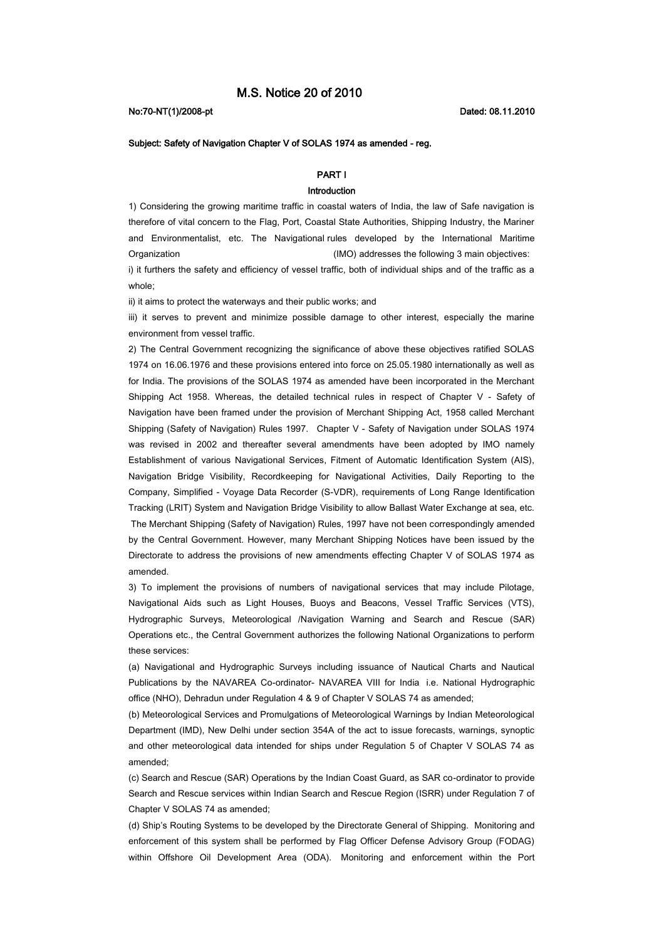## No:70-NT(1)/2008-pt Dated: 08.11.2010

# Subject: Safety of Navigation Chapter V of SOLAS 1974 as amended - reg.

# PART I

## Introduction

1) Considering the growing maritime traffic in coastal waters of India, the law of Safe navigation is therefore of vital concern to the Flag, Port, Coastal State Authorities, Shipping Industry, the Mariner and Environmentalist, etc. The Navigational rules developed by the International Maritime Organization (IMO) addresses the following 3 main objectives:

i) it furthers the safety and efficiency of vessel traffic, both of individual ships and of the traffic as a whole;

ii) it aims to protect the waterways and their public works; and

iii) it serves to prevent and minimize possible damage to other interest, especially the marine environment from vessel traffic.

2) The Central Government recognizing the significance of above these objectives ratified SOLAS 1974 on 16.06.1976 and these provisions entered into force on 25.05.1980 internationally as well as for India. The provisions of the SOLAS 1974 as amended have been incorporated in the Merchant Shipping Act 1958. Whereas, the detailed technical rules in respect of Chapter V - Safety of Navigation have been framed under the provision of Merchant Shipping Act, 1958 called Merchant Shipping (Safety of Navigation) Rules 1997. Chapter V - Safety of Navigation under SOLAS 1974 was revised in 2002 and thereafter several amendments have been adopted by IMO namely Establishment of various Navigational Services, Fitment of Automatic Identification System (AIS), Navigation Bridge Visibility, Recordkeeping for Navigational Activities, Daily Reporting to the Company, Simplified - Voyage Data Recorder (S-VDR), requirements of Long Range Identification Tracking (LRIT) System and Navigation Bridge Visibility to allow Ballast Water Exchange at sea, etc. The Merchant Shipping (Safety of Navigation) Rules, 1997 have not been correspondingly amended by the Central Government. However, many Merchant Shipping Notices have been issued by the Directorate to address the provisions of new amendments effecting Chapter V of SOLAS 1974 as amended.

3) To implement the provisions of numbers of navigational services that may include Pilotage, Navigational Aids such as Light Houses, Buoys and Beacons, Vessel Traffic Services (VTS), Hydrographic Surveys, Meteorological /Navigation Warning and Search and Rescue (SAR) Operations etc., the Central Government authorizes the following National Organizations to perform these services:

(a) Navigational and Hydrographic Surveys including issuance of Nautical Charts and Nautical Publications by the NAVAREA Co-ordinator- NAVAREA VIII for India i.e. National Hydrographic office (NHO), Dehradun under Regulation 4 & 9 of Chapter V SOLAS 74 as amended;

(b) Meteorological Services and Promulgations of Meteorological Warnings by Indian Meteorological Department (IMD), New Delhi under section 354A of the act to issue forecasts, warnings, synoptic and other meteorological data intended for ships under Regulation 5 of Chapter V SOLAS 74 as amended;

(c) Search and Rescue (SAR) Operations by the Indian Coast Guard, as SAR co-ordinator to provide Search and Rescue services within Indian Search and Rescue Region (ISRR) under Regulation 7 of Chapter V SOLAS 74 as amended;

(d) Ship's Routing Systems to be developed by the Directorate General of Shipping. Monitoring and enforcement of this system shall be performed by Flag Officer Defense Advisory Group (FODAG) within Offshore Oil Development Area (ODA). Monitoring and enforcement within the Port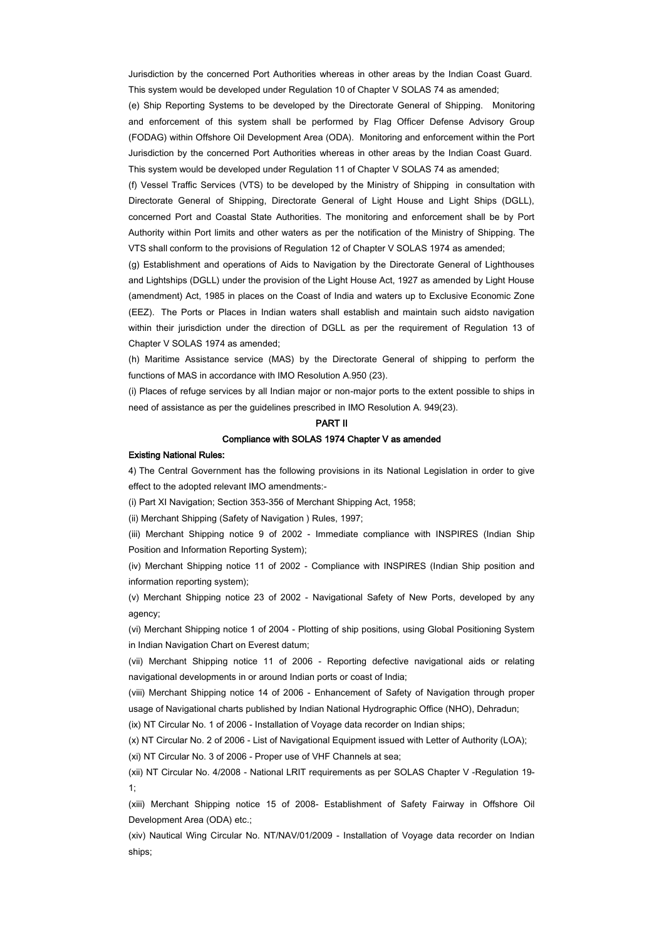Jurisdiction by the concerned Port Authorities whereas in other areas by the Indian Coast Guard. This system would be developed under Regulation 10 of Chapter V SOLAS 74 as amended;

(e) Ship Reporting Systems to be developed by the Directorate General of Shipping. Monitoring and enforcement of this system shall be performed by Flag Officer Defense Advisory Group (FODAG) within Offshore Oil Development Area (ODA). Monitoring and enforcement within the Port Jurisdiction by the concerned Port Authorities whereas in other areas by the Indian Coast Guard. This system would be developed under Regulation 11 of Chapter V SOLAS 74 as amended;

(f) Vessel Traffic Services (VTS) to be developed by the Ministry of Shipping in consultation with Directorate General of Shipping, Directorate General of Light House and Light Ships (DGLL), concerned Port and Coastal State Authorities. The monitoring and enforcement shall be by Port Authority within Port limits and other waters as per the notification of the Ministry of Shipping. The VTS shall conform to the provisions of Regulation 12 of Chapter V SOLAS 1974 as amended;

(g) Establishment and operations of Aids to Navigation by the Directorate General of Lighthouses and Lightships (DGLL) under the provision of the Light House Act, 1927 as amended by Light House (amendment) Act, 1985 in places on the Coast of India and waters up to Exclusive Economic Zone (EEZ). The Ports or Places in Indian waters shall establish and maintain such aidsto navigation within their jurisdiction under the direction of DGLL as per the requirement of Regulation 13 of Chapter V SOLAS 1974 as amended;

(h) Maritime Assistance service (MAS) by the Directorate General of shipping to perform the functions of MAS in accordance with IMO Resolution A.950 (23).

(i) Places of refuge services by all Indian major or non-major ports to the extent possible to ships in need of assistance as per the guidelines prescribed in IMO Resolution A. 949(23).

#### PART II

## Compliance with SOLAS 1974 Chapter V as amended

## Existing National Rules:

4) The Central Government has the following provisions in its National Legislation in order to give effect to the adopted relevant IMO amendments:-

(i) Part XI Navigation; Section 353-356 of Merchant Shipping Act, 1958;

(ii) Merchant Shipping (Safety of Navigation ) Rules, 1997;

(iii) Merchant Shipping notice 9 of 2002 - Immediate compliance with INSPIRES (Indian Ship Position and Information Reporting System);

(iv) Merchant Shipping notice 11 of 2002 - Compliance with INSPIRES (Indian Ship position and information reporting system);

(v) Merchant Shipping notice 23 of 2002 - Navigational Safety of New Ports, developed by any agency;

(vi) Merchant Shipping notice 1 of 2004 - Plotting of ship positions, using Global Positioning System in Indian Navigation Chart on Everest datum;

(vii) Merchant Shipping notice 11 of 2006 - Reporting defective navigational aids or relating navigational developments in or around Indian ports or coast of India;

(viii) Merchant Shipping notice 14 of 2006 - Enhancement of Safety of Navigation through proper usage of Navigational charts published by Indian National Hydrographic Office (NHO), Dehradun;

(ix) NT Circular No. 1 of 2006 - Installation of Voyage data recorder on Indian ships;

(x) NT Circular No. 2 of 2006 - List of Navigational Equipment issued with Letter of Authority (LOA); (xi) NT Circular No. 3 of 2006 - Proper use of VHF Channels at sea;

(xii) NT Circular No. 4/2008 - National LRIT requirements as per SOLAS Chapter V -Regulation 19- 1;

(xiii) Merchant Shipping notice 15 of 2008- Establishment of Safety Fairway in Offshore Oil Development Area (ODA) etc.;

(xiv) Nautical Wing Circular No. NT/NAV/01/2009 - Installation of Voyage data recorder on Indian ships;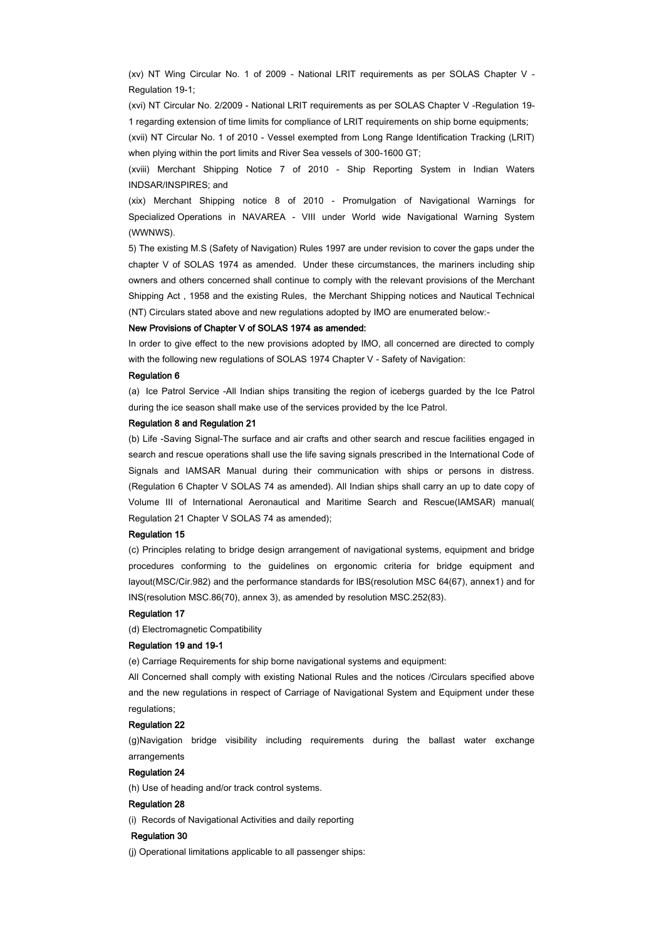(xv) NT Wing Circular No. 1 of 2009 - National LRIT requirements as per SOLAS Chapter V - Regulation 19-1;

(xvi) NT Circular No. 2/2009 - National LRIT requirements as per SOLAS Chapter V -Regulation 19- 1 regarding extension of time limits for compliance of LRIT requirements on ship borne equipments;

(xvii) NT Circular No. 1 of 2010 - Vessel exempted from Long Range Identification Tracking (LRIT) when plying within the port limits and River Sea vessels of 300-1600 GT;

(xviii) Merchant Shipping Notice 7 of 2010 - Ship Reporting System in Indian Waters INDSAR/INSPIRES; and

(xix) Merchant Shipping notice 8 of 2010 - Promulgation of Navigational Warnings for Specialized Operations in NAVAREA - VIII under World wide Navigational Warning System (WWNWS).

5) The existing M.S (Safety of Navigation) Rules 1997 are under revision to cover the gaps under the chapter V of SOLAS 1974 as amended. Under these circumstances, the mariners including ship owners and others concerned shall continue to comply with the relevant provisions of the Merchant Shipping Act , 1958 and the existing Rules, the Merchant Shipping notices and Nautical Technical (NT) Circulars stated above and new regulations adopted by IMO are enumerated below:-

## New Provisions of Chapter V of SOLAS 1974 as amended:

In order to give effect to the new provisions adopted by IMO, all concerned are directed to comply with the following new regulations of SOLAS 1974 Chapter V - Safety of Navigation:

### Regulation 6

(a) Ice Patrol Service -All Indian ships transiting the region of icebergs guarded by the Ice Patrol during the ice season shall make use of the services provided by the Ice Patrol.

#### Regulation 8 and Regulation 21

(b) Life -Saving Signal-The surface and air crafts and other search and rescue facilities engaged in search and rescue operations shall use the life saving signals prescribed in the International Code of Signals and IAMSAR Manual during their communication with ships or persons in distress. (Regulation 6 Chapter V SOLAS 74 as amended). All Indian ships shall carry an up to date copy of Volume III of International Aeronautical and Maritime Search and Rescue(IAMSAR) manual( Regulation 21 Chapter V SOLAS 74 as amended);

### Regulation 15

(c) Principles relating to bridge design arrangement of navigational systems, equipment and bridge procedures conforming to the guidelines on ergonomic criteria for bridge equipment and layout(MSC/Cir.982) and the performance standards for IBS(resolution MSC 64(67), annex1) and for INS(resolution MSC.86(70), annex 3), as amended by resolution MSC.252(83).

#### Regulation 17

(d) Electromagnetic Compatibility

## Regulation 19 and 19-1

(e) Carriage Requirements for ship borne navigational systems and equipment:

All Concerned shall comply with existing National Rules and the notices /Circulars specified above and the new regulations in respect of Carriage of Navigational System and Equipment under these regulations;

## Regulation 22

(g)Navigation bridge visibility including requirements during the ballast water exchange arrangements

## Regulation 24

(h) Use of heading and/or track control systems.

#### Regulation 28

(i) Records of Navigational Activities and daily reporting

# Regulation 30

(j) Operational limitations applicable to all passenger ships: